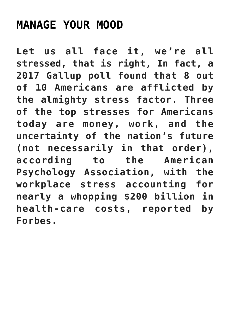## **[MANAGE YOUR MOOD](https://beautiflworid.com/manage-your-mood)**

**Let us all face it, we're all stressed, that is right, In fact, a 2017 Gallup poll found that 8 out of 10 Americans are afflicted by the almighty stress factor. Three of the top stresses for Americans today are money, work, and the uncertainty of the nation's future (not necessarily in that order), according to the American Psychology Association, with the workplace stress accounting for nearly a whopping \$200 billion in health-care costs, reported by Forbes.**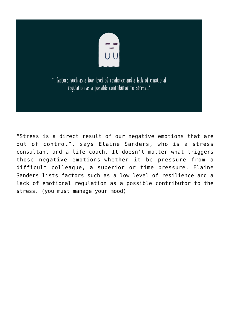

"Stress is a direct result of our negative emotions that are out of control", says Elaine Sanders, who is a stress consultant and a life coach. It doesn't matter what triggers those negative emotions-whether it be pressure from a difficult colleague, a superior or time pressure. Elaine Sanders lists factors such as a low level of resilience and a lack of emotional regulation as a possible contributor to the stress. (you must manage your mood)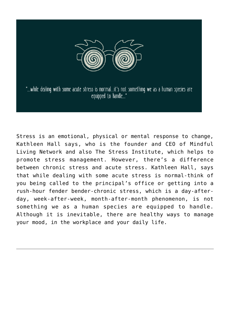

"...while dealing with some acute stress is normal...it's not something we as a human species are equipped to handle..."

Stress is an emotional, physical or mental response to change, Kathleen Hall says, who is the founder and CEO of Mindful Living Network and also The Stress Institute, which helps to promote stress management. However, there's a difference between chronic stress and acute stress. Kathleen Hall, says that while dealing with some acute stress is normal-think of you being called to the principal's office or getting into a rush-hour fender bender-chronic stress, which is a day-afterday, week-after-week, month-after-month phenomenon, is not something we as a human species are equipped to handle. Although it is inevitable, there are healthy ways to manage your mood, in the workplace and your daily life.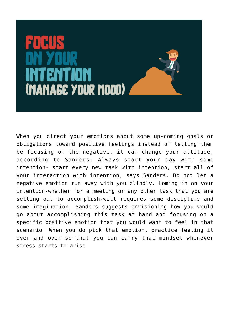

When you direct your emotions about some up-coming goals or obligations toward positive feelings instead of letting them be focusing on the negative, it can change your attitude, according to Sanders. Always start your day with some intention- start every new task with intention, start all of your interaction with intention, says Sanders. Do not let a negative emotion run away with you blindly. Homing in on your intention-whether for a meeting or any other task that you are setting out to accomplish-will requires some discipline and some imagination. Sanders suggests envisioning how you would go about accomplishing this task at hand and focusing on a specific positive emotion that you would want to feel in that scenario. When you do pick that emotion, practice feeling it over and over so that you can carry that mindset whenever stress starts to arise.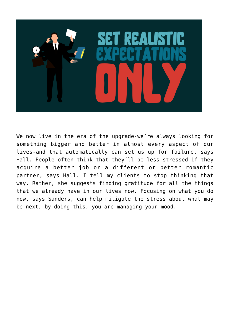

We now live in the era of the upgrade-we're always looking for something bigger and better in almost every aspect of our lives-and that automatically can set us up for failure, says Hall. People often think that they'll be less stressed if they acquire a better job or a different or better romantic partner, says Hall. I tell my clients to stop thinking that way. Rather, she suggests finding gratitude for all the things that we already have in our lives now. Focusing on what you do now, says Sanders, can help mitigate the stress about what may be next, by doing this, you are managing your mood.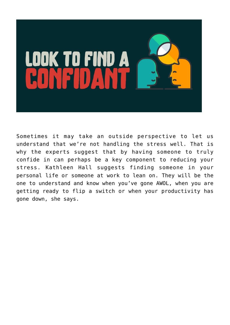

Sometimes it may take an outside perspective to let us understand that we're not handling the stress well. That is why the experts suggest that by having someone to truly confide in can perhaps be a key component to reducing your stress. Kathleen Hall suggests finding someone in your personal life or someone at work to lean on. They will be the one to understand and know when you've gone AWOL, when you are getting ready to flip a switch or when your productivity has gone down, she says.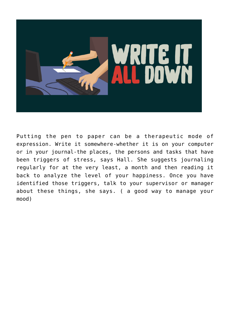

Putting the pen to paper can be a therapeutic mode of expression. Write it somewhere-whether it is on your computer or in your journal-the places, the persons and tasks that have been triggers of stress, says Hall. She suggests journaling regularly for at the very least, a month and then reading it back to analyze the level of your happiness. Once you have identified those triggers, talk to your supervisor or manager about these things, she says. ( a good way to manage your mood)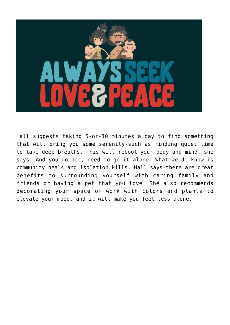

Hall suggests taking 5-or-10 minutes a day to find something that will bring you some serenity-such as finding quiet time to take deep breaths. This will reboot your body and mind, she says. And you do not, need to go it alone. What we do know is community heals and isolation kills. Hall says-there are great benefits to surrounding yourself with caring family and friends or having a pet that you love. She also recommends decorating your space of work with colors and plants to elevate your mood, and it will make you feel less alone.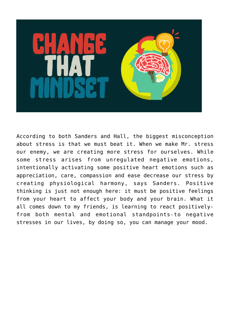

According to both Sanders and Hall, the biggest misconception about stress is that we must beat it. When we make Mr. stress our enemy, we are creating more stress for ourselves. While some stress arises from unregulated negative emotions, intentionally activating some positive heart emotions such as appreciation, care, compassion and ease decrease our stress by creating physiological harmony, says Sanders. Positive thinking is just not enough here: it must be positive feelings from your heart to affect your body and your brain. What it all comes down to my friends, is learning to react positivelyfrom both mental and emotional standpoints-to negative stresses in our lives, by doing so, you can manage your mood.